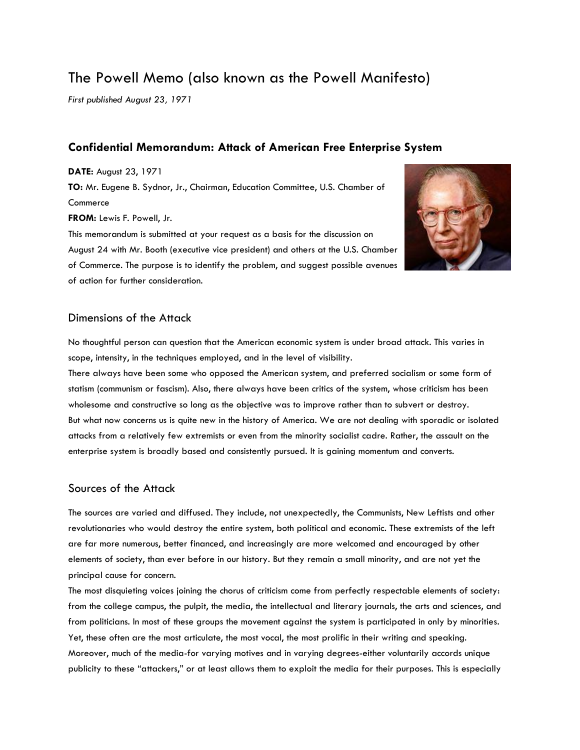# The Powell Memo (also known as the Powell Manifesto)

*First published August 23, 1971*

## **Confidential Memorandum: Attack of American Free Enterprise System**

#### **DATE:** August 23, 1971

**TO:** Mr. Eugene B. Sydnor, Jr., Chairman, Education Committee, U.S. Chamber of Commerce

**FROM:** Lewis F. Powell, Jr.

This memorandum is submitted at your request as a basis for the discussion on August 24 with Mr. Booth (executive vice president) and others at the U.S. Chamber of Commerce. The purpose is to identify the problem, and suggest possible avenues of action for further consideration.



## Dimensions of the Attack

No thoughtful person can question that the American economic system is under broad attack. This varies in scope, intensity, in the techniques employed, and in the level of visibility.

There always have been some who opposed the American system, and preferred socialism or some form of statism (communism or fascism). Also, there always have been critics of the system, whose criticism has been wholesome and constructive so long as the objective was to improve rather than to subvert or destroy. But what now concerns us is quite new in the history of America. We are not dealing with sporadic or isolated attacks from a relatively few extremists or even from the minority socialist cadre. Rather, the assault on the enterprise system is broadly based and consistently pursued. It is gaining momentum and converts.

#### Sources of the Attack

The sources are varied and diffused. They include, not unexpectedly, the Communists, New Leftists and other revolutionaries who would destroy the entire system, both political and economic. These extremists of the left are far more numerous, better financed, and increasingly are more welcomed and encouraged by other elements of society, than ever before in our history. But they remain a small minority, and are not yet the principal cause for concern.

The most disquieting voices joining the chorus of criticism come from perfectly respectable elements of society: from the college campus, the pulpit, the media, the intellectual and literary journals, the arts and sciences, and from politicians. In most of these groups the movement against the system is participated in only by minorities. Yet, these often are the most articulate, the most vocal, the most prolific in their writing and speaking. Moreover, much of the media-for varying motives and in varying degrees-either voluntarily accords unique publicity to these "attackers," or at least allows them to exploit the media for their purposes. This is especially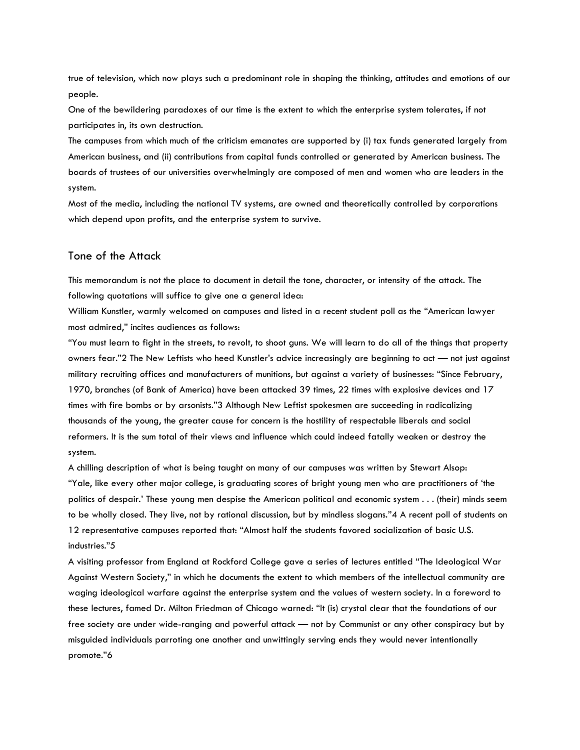true of television, which now plays such a predominant role in shaping the thinking, attitudes and emotions of our people.

One of the bewildering paradoxes of our time is the extent to which the enterprise system tolerates, if not participates in, its own destruction.

The campuses from which much of the criticism emanates are supported by (i) tax funds generated largely from American business, and (ii) contributions from capital funds controlled or generated by American business. The boards of trustees of our universities overwhelmingly are composed of men and women who are leaders in the system.

Most of the media, including the national TV systems, are owned and theoretically controlled by corporations which depend upon profits, and the enterprise system to survive.

## Tone of the Attack

This memorandum is not the place to document in detail the tone, character, or intensity of the attack. The following quotations will suffice to give one a general idea:

William Kunstler, warmly welcomed on campuses and listed in a recent student poll as the "American lawyer most admired," incites audiences as follows:

"You must learn to fight in the streets, to revolt, to shoot guns. We will learn to do all of the things that property owners fear."2 The New Leftists who heed Kunstler's advice increasingly are beginning to act — not just against military recruiting offices and manufacturers of munitions, but against a variety of businesses: "Since February, 1970, branches (of Bank of America) have been attacked 39 times, 22 times with explosive devices and 17 times with fire bombs or by arsonists."3 Although New Leftist spokesmen are succeeding in radicalizing thousands of the young, the greater cause for concern is the hostility of respectable liberals and social reformers. It is the sum total of their views and influence which could indeed fatally weaken or destroy the system.

A chilling description of what is being taught on many of our campuses was written by Stewart Alsop: "Yale, like every other major college, is graduating scores of bright young men who are practitioners of 'the politics of despair.' These young men despise the American political and economic system . . . (their) minds seem to be wholly closed. They live, not by rational discussion, but by mindless slogans."4 A recent poll of students on 12 representative campuses reported that: "Almost half the students favored socialization of basic U.S. industries."5

A visiting professor from England at Rockford College gave a series of lectures entitled "The Ideological War Against Western Society," in which he documents the extent to which members of the intellectual community are waging ideological warfare against the enterprise system and the values of western society. In a foreword to these lectures, famed Dr. Milton Friedman of Chicago warned: "It (is) crystal clear that the foundations of our free society are under wide-ranging and powerful attack — not by Communist or any other conspiracy but by misguided individuals parroting one another and unwittingly serving ends they would never intentionally promote."6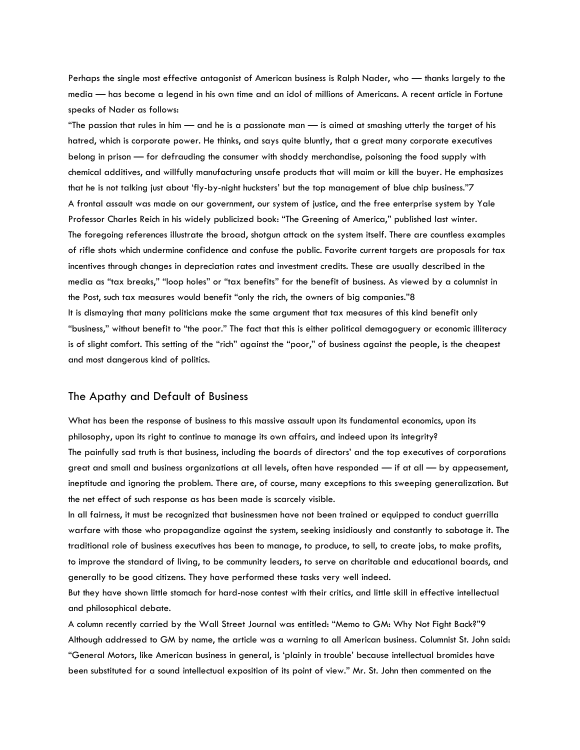Perhaps the single most effective antagonist of American business is Ralph Nader, who — thanks largely to the media — has become a legend in his own time and an idol of millions of Americans. A recent article in Fortune speaks of Nader as follows:

"The passion that rules in him — and he is a passionate man — is aimed at smashing utterly the target of his hatred, which is corporate power. He thinks, and says quite bluntly, that a great many corporate executives belong in prison — for defrauding the consumer with shoddy merchandise, poisoning the food supply with chemical additives, and willfully manufacturing unsafe products that will maim or kill the buyer. He emphasizes that he is not talking just about 'fly-by-night hucksters' but the top management of blue chip business."7 A frontal assault was made on our government, our system of justice, and the free enterprise system by Yale Professor Charles Reich in his widely publicized book: "The Greening of America," published last winter. The foregoing references illustrate the broad, shotgun attack on the system itself. There are countless examples of rifle shots which undermine confidence and confuse the public. Favorite current targets are proposals for tax incentives through changes in depreciation rates and investment credits. These are usually described in the media as "tax breaks," "loop holes" or "tax benefits" for the benefit of business. As viewed by a columnist in the Post, such tax measures would benefit "only the rich, the owners of big companies."8 It is dismaying that many politicians make the same argument that tax measures of this kind benefit only "business," without benefit to "the poor." The fact that this is either political demagoguery or economic illiteracy is of slight comfort. This setting of the "rich" against the "poor," of business against the people, is the cheapest and most dangerous kind of politics.

#### The Apathy and Default of Business

What has been the response of business to this massive assault upon its fundamental economics, upon its philosophy, upon its right to continue to manage its own affairs, and indeed upon its integrity? The painfully sad truth is that business, including the boards of directors' and the top executives of corporations great and small and business organizations at all levels, often have responded — if at all — by appeasement, ineptitude and ignoring the problem. There are, of course, many exceptions to this sweeping generalization. But the net effect of such response as has been made is scarcely visible.

In all fairness, it must be recognized that businessmen have not been trained or equipped to conduct guerrilla warfare with those who propagandize against the system, seeking insidiously and constantly to sabotage it. The traditional role of business executives has been to manage, to produce, to sell, to create jobs, to make profits, to improve the standard of living, to be community leaders, to serve on charitable and educational boards, and generally to be good citizens. They have performed these tasks very well indeed.

But they have shown little stomach for hard-nose contest with their critics, and little skill in effective intellectual and philosophical debate.

A column recently carried by the Wall Street Journal was entitled: "Memo to GM: Why Not Fight Back?"9 Although addressed to GM by name, the article was a warning to all American business. Columnist St. John said: "General Motors, like American business in general, is 'plainly in trouble' because intellectual bromides have been substituted for a sound intellectual exposition of its point of view." Mr. St. John then commented on the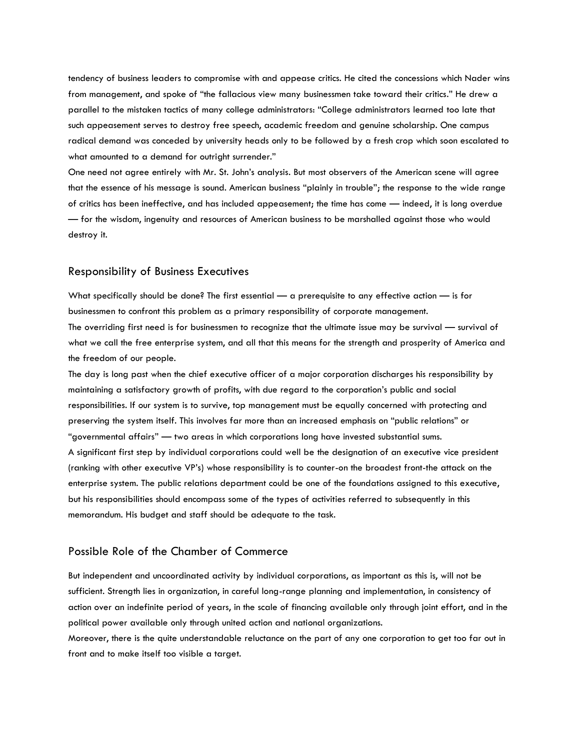tendency of business leaders to compromise with and appease critics. He cited the concessions which Nader wins from management, and spoke of "the fallacious view many businessmen take toward their critics." He drew a parallel to the mistaken tactics of many college administrators: "College administrators learned too late that such appeasement serves to destroy free speech, academic freedom and genuine scholarship. One campus radical demand was conceded by university heads only to be followed by a fresh crop which soon escalated to what amounted to a demand for outright surrender."

One need not agree entirely with Mr. St. John's analysis. But most observers of the American scene will agree that the essence of his message is sound. American business "plainly in trouble"; the response to the wide range of critics has been ineffective, and has included appeasement; the time has come — indeed, it is long overdue — for the wisdom, ingenuity and resources of American business to be marshalled against those who would destroy it.

## Responsibility of Business Executives

What specifically should be done? The first essential — a prerequisite to any effective action — is for businessmen to confront this problem as a primary responsibility of corporate management. The overriding first need is for businessmen to recognize that the ultimate issue may be survival — survival of what we call the free enterprise system, and all that this means for the strength and prosperity of America and the freedom of our people.

The day is long past when the chief executive officer of a major corporation discharges his responsibility by maintaining a satisfactory growth of profits, with due regard to the corporation's public and social responsibilities. If our system is to survive, top management must be equally concerned with protecting and preserving the system itself. This involves far more than an increased emphasis on "public relations" or "governmental affairs" — two areas in which corporations long have invested substantial sums. A significant first step by individual corporations could well be the designation of an executive vice president (ranking with other executive VP's) whose responsibility is to counter-on the broadest front-the attack on the enterprise system. The public relations department could be one of the foundations assigned to this executive, but his responsibilities should encompass some of the types of activities referred to subsequently in this memorandum. His budget and staff should be adequate to the task.

### Possible Role of the Chamber of Commerce

But independent and uncoordinated activity by individual corporations, as important as this is, will not be sufficient. Strength lies in organization, in careful long-range planning and implementation, in consistency of action over an indefinite period of years, in the scale of financing available only through joint effort, and in the political power available only through united action and national organizations.

Moreover, there is the quite understandable reluctance on the part of any one corporation to get too far out in front and to make itself too visible a target.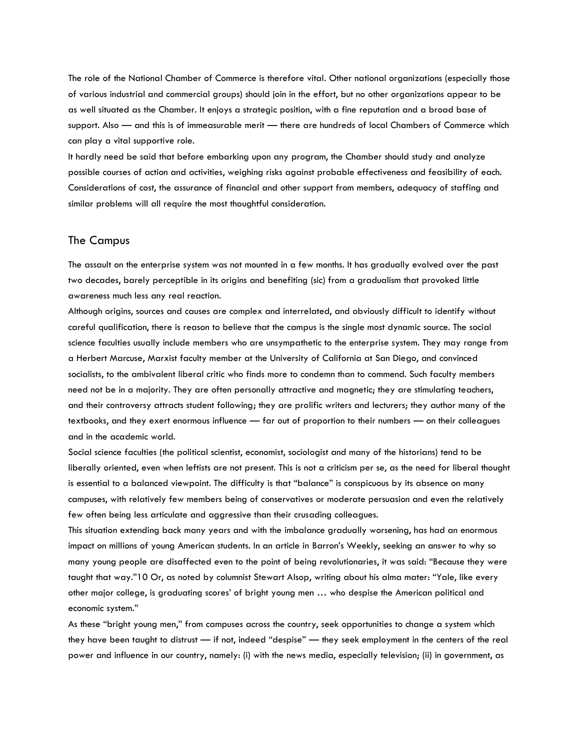The role of the National Chamber of Commerce is therefore vital. Other national organizations (especially those of various industrial and commercial groups) should join in the effort, but no other organizations appear to be as well situated as the Chamber. It enjoys a strategic position, with a fine reputation and a broad base of support. Also — and this is of immeasurable merit — there are hundreds of local Chambers of Commerce which can play a vital supportive role.

It hardly need be said that before embarking upon any program, the Chamber should study and analyze possible courses of action and activities, weighing risks against probable effectiveness and feasibility of each. Considerations of cost, the assurance of financial and other support from members, adequacy of staffing and similar problems will all require the most thoughtful consideration.

#### The Campus

The assault on the enterprise system was not mounted in a few months. It has gradually evolved over the past two decades, barely perceptible in its origins and benefiting (sic) from a gradualism that provoked little awareness much less any real reaction.

Although origins, sources and causes are complex and interrelated, and obviously difficult to identify without careful qualification, there is reason to believe that the campus is the single most dynamic source. The social science faculties usually include members who are unsympathetic to the enterprise system. They may range from a Herbert Marcuse, Marxist faculty member at the University of California at San Diego, and convinced socialists, to the ambivalent liberal critic who finds more to condemn than to commend. Such faculty members need not be in a majority. They are often personally attractive and magnetic; they are stimulating teachers, and their controversy attracts student following; they are prolific writers and lecturers; they author many of the textbooks, and they exert enormous influence — far out of proportion to their numbers — on their colleagues and in the academic world.

Social science faculties (the political scientist, economist, sociologist and many of the historians) tend to be liberally oriented, even when leftists are not present. This is not a criticism per se, as the need for liberal thought is essential to a balanced viewpoint. The difficulty is that "balance" is conspicuous by its absence on many campuses, with relatively few members being of conservatives or moderate persuasion and even the relatively few often being less articulate and aggressive than their crusading colleagues.

This situation extending back many years and with the imbalance gradually worsening, has had an enormous impact on millions of young American students. In an article in Barron's Weekly, seeking an answer to why so many young people are disaffected even to the point of being revolutionaries, it was said: "Because they were taught that way."10 Or, as noted by columnist Stewart Alsop, writing about his alma mater: "Yale, like every other major college, is graduating scores' of bright young men … who despise the American political and economic system."

As these "bright young men," from campuses across the country, seek opportunities to change a system which they have been taught to distrust — if not, indeed "despise" — they seek employment in the centers of the real power and influence in our country, namely: (i) with the news media, especially television; (ii) in government, as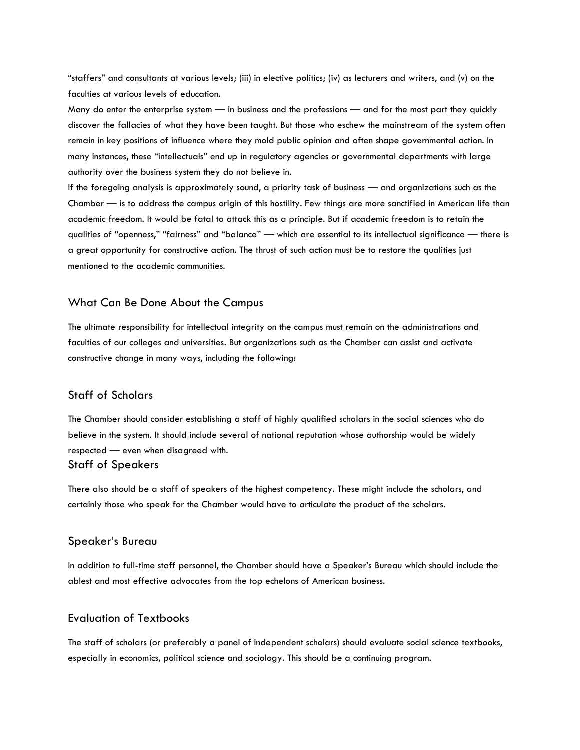"staffers" and consultants at various levels; (iii) in elective politics; (iv) as lecturers and writers, and (v) on the faculties at various levels of education.

Many do enter the enterprise system — in business and the professions — and for the most part they quickly discover the fallacies of what they have been taught. But those who eschew the mainstream of the system often remain in key positions of influence where they mold public opinion and often shape governmental action. In many instances, these "intellectuals" end up in regulatory agencies or governmental departments with large authority over the business system they do not believe in.

If the foregoing analysis is approximately sound, a priority task of business — and organizations such as the Chamber — is to address the campus origin of this hostility. Few things are more sanctified in American life than academic freedom. It would be fatal to attack this as a principle. But if academic freedom is to retain the qualities of "openness," "fairness" and "balance" — which are essential to its intellectual significance — there is a great opportunity for constructive action. The thrust of such action must be to restore the qualities just mentioned to the academic communities.

#### What Can Be Done About the Campus

The ultimate responsibility for intellectual integrity on the campus must remain on the administrations and faculties of our colleges and universities. But organizations such as the Chamber can assist and activate constructive change in many ways, including the following:

## Staff of Scholars

The Chamber should consider establishing a staff of highly qualified scholars in the social sciences who do believe in the system. It should include several of national reputation whose authorship would be widely respected — even when disagreed with. Staff of Speakers

There also should be a staff of speakers of the highest competency. These might include the scholars, and certainly those who speak for the Chamber would have to articulate the product of the scholars.

## Speaker's Bureau

In addition to full-time staff personnel, the Chamber should have a Speaker's Bureau which should include the ablest and most effective advocates from the top echelons of American business.

#### Evaluation of Textbooks

The staff of scholars (or preferably a panel of independent scholars) should evaluate social science textbooks, especially in economics, political science and sociology. This should be a continuing program.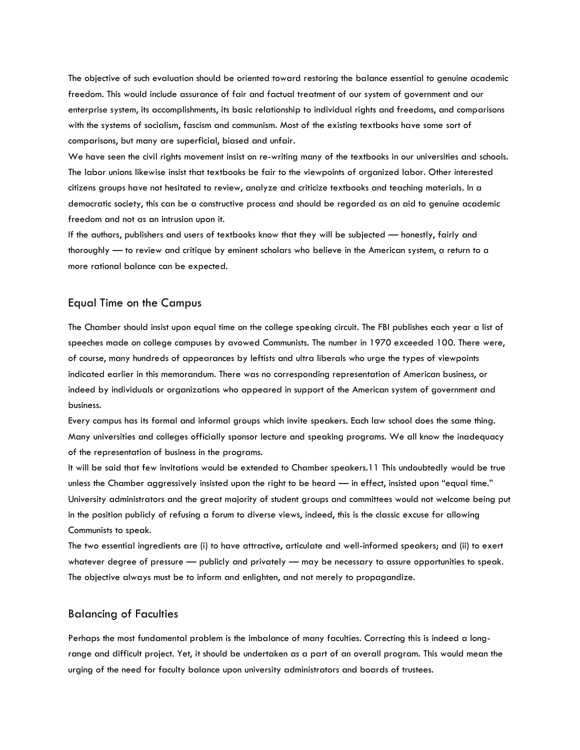The objective of such evaluation should be oriented toward restoring the balance essential to genuine academic freedom. This would include assurance of fair and factual treatment of our system of government and our enterprise system, its accomplishments, its basic relationship to individual rights and freedoms, and comparisons with the systems of socialism, fascism and communism. Most of the existing textbooks have some sort of comparisons, but many are superficial, biased and unfair.

We have seen the civil rights movement insist on re-writing many of the textbooks in our universities and schools. The labor unions likewise insist that textbooks be fair to the viewpoints of organized labor. Other interested citizens groups have not hesitated to review, analyze and criticize textbooks and teaching materials. In a democratic society, this can be a constructive process and should be regarded as an aid to genuine academic freedom and not as an intrusion upon it.

If the authors, publishers and users of textbooks know that they will be subjected — honestly, fairly and thoroughly — to review and critique by eminent scholars who believe in the American system, a return to a more rational balance can be expected.

#### Equal Time on the Campus

The Chamber should insist upon equal time on the college speaking circuit. The FBI publishes each year a list of speeches made on college campuses by avowed Communists. The number in 1970 exceeded 100. There were, of course, many hundreds of appearances by leftists and ultra liberals who urge the types of viewpoints indicated earlier in this memorandum. There was no corresponding representation of American business, or indeed by individuals or organizations who appeared in support of the American system of government and business.

Every campus has its formal and informal groups which invite speakers. Each law school does the same thing. Many universities and colleges officially sponsor lecture and speaking programs. We all know the inadequacy of the representation of business in the programs.

It will be said that few invitations would be extended to Chamber speakers.11 This undoubtedly would be true unless the Chamber aggressively insisted upon the right to be heard — in effect, insisted upon "equal time." University administrators and the great majority of student groups and committees would not welcome being put in the position publicly of refusing a forum to diverse views, indeed, this is the classic excuse for allowing Communists to speak.

The two essential ingredients are (i) to have attractive, articulate and well-informed speakers; and (ii) to exert whatever degree of pressure — publicly and privately — may be necessary to assure opportunities to speak. The objective always must be to inform and enlighten, and not merely to propagandize.

## Balancing of Faculties

Perhaps the most fundamental problem is the imbalance of many faculties. Correcting this is indeed a longrange and difficult project. Yet, it should be undertaken as a part of an overall program. This would mean the urging of the need for faculty balance upon university administrators and boards of trustees.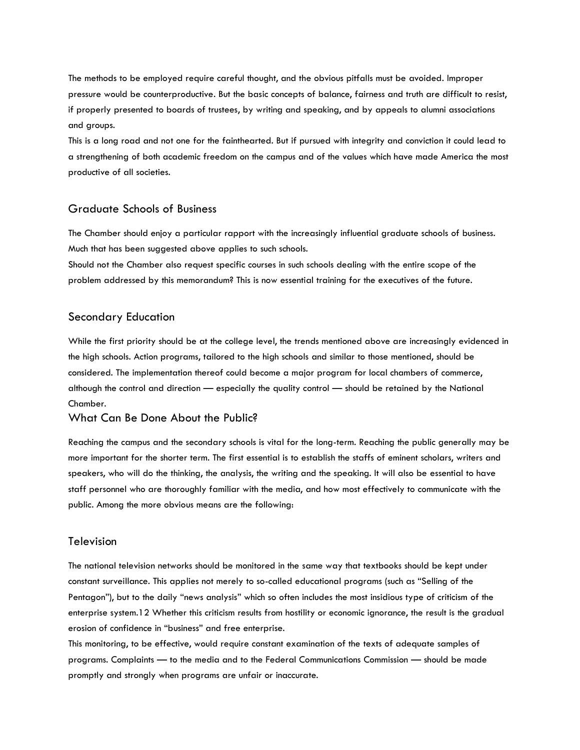The methods to be employed require careful thought, and the obvious pitfalls must be avoided. Improper pressure would be counterproductive. But the basic concepts of balance, fairness and truth are difficult to resist, if properly presented to boards of trustees, by writing and speaking, and by appeals to alumni associations and groups.

This is a long road and not one for the fainthearted. But if pursued with integrity and conviction it could lead to a strengthening of both academic freedom on the campus and of the values which have made America the most productive of all societies.

## Graduate Schools of Business

The Chamber should enjoy a particular rapport with the increasingly influential graduate schools of business. Much that has been suggested above applies to such schools.

Should not the Chamber also request specific courses in such schools dealing with the entire scope of the problem addressed by this memorandum? This is now essential training for the executives of the future.

## Secondary Education

While the first priority should be at the college level, the trends mentioned above are increasingly evidenced in the high schools. Action programs, tailored to the high schools and similar to those mentioned, should be considered. The implementation thereof could become a major program for local chambers of commerce, although the control and direction — especially the quality control — should be retained by the National Chamber.

#### What Can Be Done About the Public?

Reaching the campus and the secondary schools is vital for the long-term. Reaching the public generally may be more important for the shorter term. The first essential is to establish the staffs of eminent scholars, writers and speakers, who will do the thinking, the analysis, the writing and the speaking. It will also be essential to have staff personnel who are thoroughly familiar with the media, and how most effectively to communicate with the public. Among the more obvious means are the following:

## Television

The national television networks should be monitored in the same way that textbooks should be kept under constant surveillance. This applies not merely to so-called educational programs (such as "Selling of the Pentagon"), but to the daily "news analysis" which so often includes the most insidious type of criticism of the enterprise system.12 Whether this criticism results from hostility or economic ignorance, the result is the gradual erosion of confidence in "business" and free enterprise.

This monitoring, to be effective, would require constant examination of the texts of adequate samples of programs. Complaints — to the media and to the Federal Communications Commission — should be made promptly and strongly when programs are unfair or inaccurate.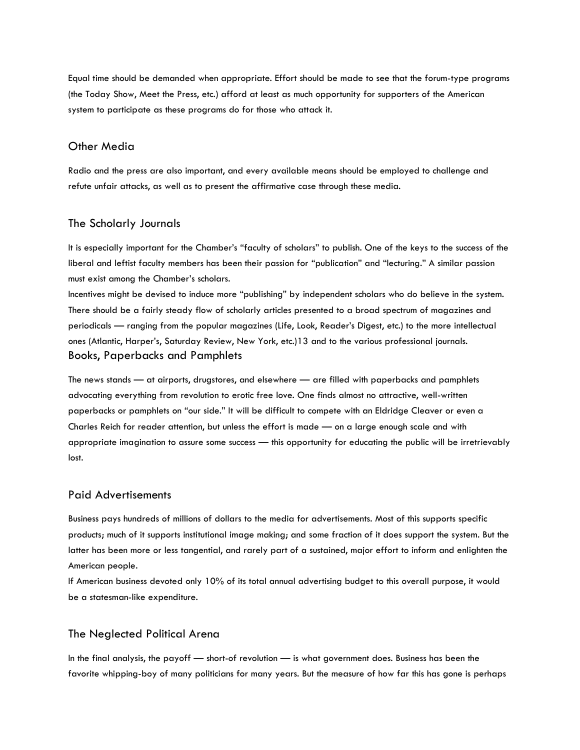Equal time should be demanded when appropriate. Effort should be made to see that the forum-type programs (the Today Show, Meet the Press, etc.) afford at least as much opportunity for supporters of the American system to participate as these programs do for those who attack it.

## Other Media

Radio and the press are also important, and every available means should be employed to challenge and refute unfair attacks, as well as to present the affirmative case through these media.

#### The Scholarly Journals

It is especially important for the Chamber's "faculty of scholars" to publish. One of the keys to the success of the liberal and leftist faculty members has been their passion for "publication" and "lecturing." A similar passion must exist among the Chamber's scholars.

Incentives might be devised to induce more "publishing" by independent scholars who do believe in the system. There should be a fairly steady flow of scholarly articles presented to a broad spectrum of magazines and periodicals — ranging from the popular magazines (Life, Look, Reader's Digest, etc.) to the more intellectual ones (Atlantic, Harper's, Saturday Review, New York, etc.)13 and to the various professional journals. Books, Paperbacks and Pamphlets

The news stands — at airports, drugstores, and elsewhere — are filled with paperbacks and pamphlets advocating everything from revolution to erotic free love. One finds almost no attractive, well-written paperbacks or pamphlets on "our side." It will be difficult to compete with an Eldridge Cleaver or even a Charles Reich for reader attention, but unless the effort is made — on a large enough scale and with appropriate imagination to assure some success — this opportunity for educating the public will be irretrievably lost.

#### Paid Advertisements

Business pays hundreds of millions of dollars to the media for advertisements. Most of this supports specific products; much of it supports institutional image making; and some fraction of it does support the system. But the latter has been more or less tangential, and rarely part of a sustained, major effort to inform and enlighten the American people.

If American business devoted only 10% of its total annual advertising budget to this overall purpose, it would be a statesman-like expenditure.

#### The Neglected Political Arena

In the final analysis, the payoff — short-of revolution — is what government does. Business has been the favorite whipping-boy of many politicians for many years. But the measure of how far this has gone is perhaps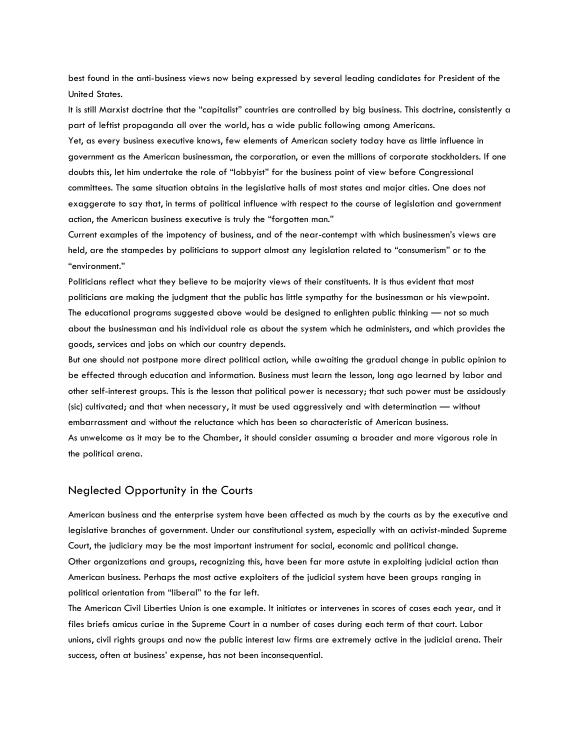best found in the anti-business views now being expressed by several leading candidates for President of the United States.

It is still Marxist doctrine that the "capitalist" countries are controlled by big business. This doctrine, consistently a part of leftist propaganda all over the world, has a wide public following among Americans.

Yet, as every business executive knows, few elements of American society today have as little influence in government as the American businessman, the corporation, or even the millions of corporate stockholders. If one doubts this, let him undertake the role of "lobbyist" for the business point of view before Congressional committees. The same situation obtains in the legislative halls of most states and major cities. One does not exaggerate to say that, in terms of political influence with respect to the course of legislation and government action, the American business executive is truly the "forgotten man."

Current examples of the impotency of business, and of the near-contempt with which businessmen's views are held, are the stampedes by politicians to support almost any legislation related to "consumerism" or to the "environment."

Politicians reflect what they believe to be majority views of their constituents. It is thus evident that most politicians are making the judgment that the public has little sympathy for the businessman or his viewpoint. The educational programs suggested above would be designed to enlighten public thinking — not so much about the businessman and his individual role as about the system which he administers, and which provides the goods, services and jobs on which our country depends.

But one should not postpone more direct political action, while awaiting the gradual change in public opinion to be effected through education and information. Business must learn the lesson, long ago learned by labor and other self-interest groups. This is the lesson that political power is necessary; that such power must be assidously (sic) cultivated; and that when necessary, it must be used aggressively and with determination — without embarrassment and without the reluctance which has been so characteristic of American business. As unwelcome as it may be to the Chamber, it should consider assuming a broader and more vigorous role in the political arena.

#### Neglected Opportunity in the Courts

American business and the enterprise system have been affected as much by the courts as by the executive and legislative branches of government. Under our constitutional system, especially with an activist-minded Supreme Court, the judiciary may be the most important instrument for social, economic and political change. Other organizations and groups, recognizing this, have been far more astute in exploiting judicial action than American business. Perhaps the most active exploiters of the judicial system have been groups ranging in political orientation from "liberal" to the far left.

The American Civil Liberties Union is one example. It initiates or intervenes in scores of cases each year, and it files briefs amicus curiae in the Supreme Court in a number of cases during each term of that court. Labor unions, civil rights groups and now the public interest law firms are extremely active in the judicial arena. Their success, often at business' expense, has not been inconsequential.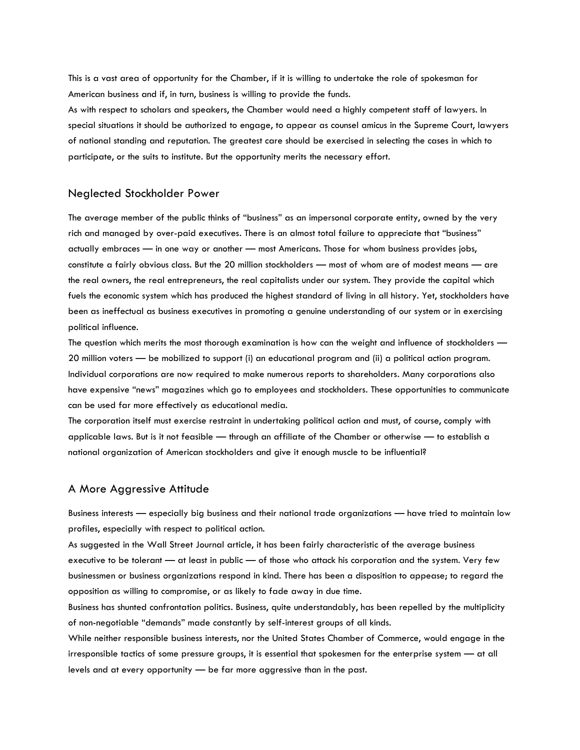This is a vast area of opportunity for the Chamber, if it is willing to undertake the role of spokesman for American business and if, in turn, business is willing to provide the funds.

As with respect to scholars and speakers, the Chamber would need a highly competent staff of lawyers. In special situations it should be authorized to engage, to appear as counsel amicus in the Supreme Court, lawyers of national standing and reputation. The greatest care should be exercised in selecting the cases in which to participate, or the suits to institute. But the opportunity merits the necessary effort.

## Neglected Stockholder Power

The average member of the public thinks of "business" as an impersonal corporate entity, owned by the very rich and managed by over-paid executives. There is an almost total failure to appreciate that "business" actually embraces — in one way or another — most Americans. Those for whom business provides jobs, constitute a fairly obvious class. But the 20 million stockholders — most of whom are of modest means — are the real owners, the real entrepreneurs, the real capitalists under our system. They provide the capital which fuels the economic system which has produced the highest standard of living in all history. Yet, stockholders have been as ineffectual as business executives in promoting a genuine understanding of our system or in exercising political influence.

The question which merits the most thorough examination is how can the weight and influence of stockholders — 20 million voters — be mobilized to support (i) an educational program and (ii) a political action program. Individual corporations are now required to make numerous reports to shareholders. Many corporations also have expensive "news" magazines which go to employees and stockholders. These opportunities to communicate can be used far more effectively as educational media.

The corporation itself must exercise restraint in undertaking political action and must, of course, comply with applicable laws. But is it not feasible — through an affiliate of the Chamber or otherwise — to establish a national organization of American stockholders and give it enough muscle to be influential?

#### A More Aggressive Attitude

Business interests — especially big business and their national trade organizations — have tried to maintain low profiles, especially with respect to political action.

As suggested in the Wall Street Journal article, it has been fairly characteristic of the average business executive to be tolerant — at least in public — of those who attack his corporation and the system. Very few businessmen or business organizations respond in kind. There has been a disposition to appease; to regard the opposition as willing to compromise, or as likely to fade away in due time.

Business has shunted confrontation politics. Business, quite understandably, has been repelled by the multiplicity of non-negotiable "demands" made constantly by self-interest groups of all kinds.

While neither responsible business interests, nor the United States Chamber of Commerce, would engage in the irresponsible tactics of some pressure groups, it is essential that spokesmen for the enterprise system — at all levels and at every opportunity — be far more aggressive than in the past.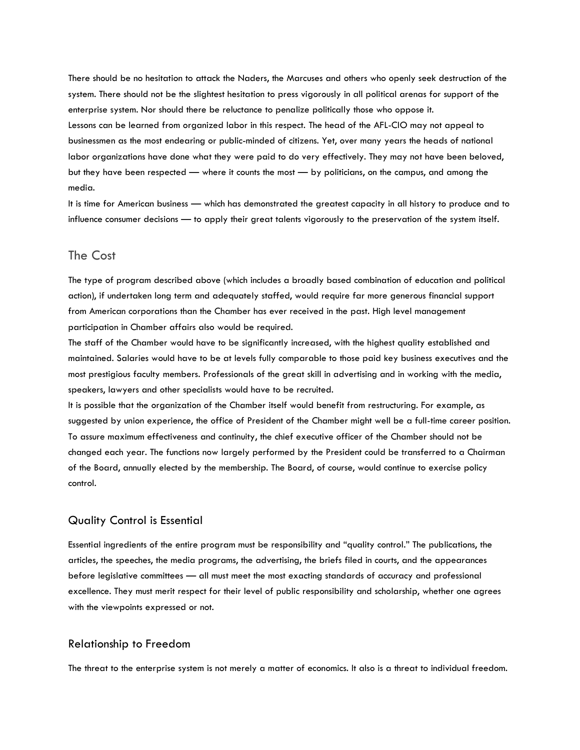There should be no hesitation to attack the Naders, the Marcuses and others who openly seek destruction of the system. There should not be the slightest hesitation to press vigorously in all political arenas for support of the enterprise system. Nor should there be reluctance to penalize politically those who oppose it. Lessons can be learned from organized labor in this respect. The head of the AFL-CIO may not appeal to businessmen as the most endearing or public-minded of citizens. Yet, over many years the heads of national labor organizations have done what they were paid to do very effectively. They may not have been beloved, but they have been respected — where it counts the most — by politicians, on the campus, and among the media.

It is time for American business — which has demonstrated the greatest capacity in all history to produce and to influence consumer decisions — to apply their great talents vigorously to the preservation of the system itself.

## The Cost

The type of program described above (which includes a broadly based combination of education and political action), if undertaken long term and adequately staffed, would require far more generous financial support from American corporations than the Chamber has ever received in the past. High level management participation in Chamber affairs also would be required.

The staff of the Chamber would have to be significantly increased, with the highest quality established and maintained. Salaries would have to be at levels fully comparable to those paid key business executives and the most prestigious faculty members. Professionals of the great skill in advertising and in working with the media, speakers, lawyers and other specialists would have to be recruited.

It is possible that the organization of the Chamber itself would benefit from restructuring. For example, as suggested by union experience, the office of President of the Chamber might well be a full-time career position. To assure maximum effectiveness and continuity, the chief executive officer of the Chamber should not be changed each year. The functions now largely performed by the President could be transferred to a Chairman of the Board, annually elected by the membership. The Board, of course, would continue to exercise policy control.

## Quality Control is Essential

Essential ingredients of the entire program must be responsibility and "quality control." The publications, the articles, the speeches, the media programs, the advertising, the briefs filed in courts, and the appearances before legislative committees — all must meet the most exacting standards of accuracy and professional excellence. They must merit respect for their level of public responsibility and scholarship, whether one agrees with the viewpoints expressed or not.

### Relationship to Freedom

The threat to the enterprise system is not merely a matter of economics. It also is a threat to individual freedom.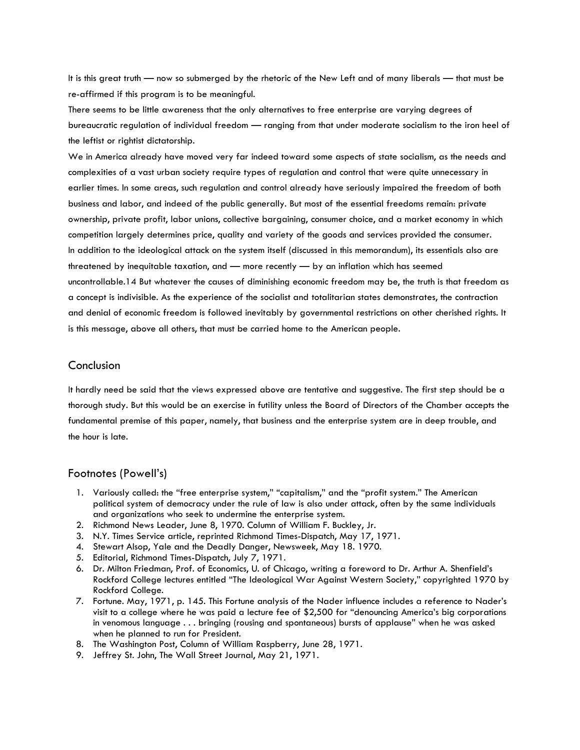It is this great truth — now so submerged by the rhetoric of the New Left and of many liberals — that must be re-affirmed if this program is to be meaningful.

There seems to be little awareness that the only alternatives to free enterprise are varying degrees of bureaucratic regulation of individual freedom — ranging from that under moderate socialism to the iron heel of the leftist or rightist dictatorship.

We in America already have moved very far indeed toward some aspects of state socialism, as the needs and complexities of a vast urban society require types of regulation and control that were quite unnecessary in earlier times. In some areas, such regulation and control already have seriously impaired the freedom of both business and labor, and indeed of the public generally. But most of the essential freedoms remain: private ownership, private profit, labor unions, collective bargaining, consumer choice, and a market economy in which competition largely determines price, quality and variety of the goods and services provided the consumer. In addition to the ideological attack on the system itself (discussed in this memorandum), its essentials also are threatened by inequitable taxation, and — more recently — by an inflation which has seemed uncontrollable.14 But whatever the causes of diminishing economic freedom may be, the truth is that freedom as a concept is indivisible. As the experience of the socialist and totalitarian states demonstrates, the contraction and denial of economic freedom is followed inevitably by governmental restrictions on other cherished rights. It is this message, above all others, that must be carried home to the American people.

## Conclusion

It hardly need be said that the views expressed above are tentative and suggestive. The first step should be a thorough study. But this would be an exercise in futility unless the Board of Directors of the Chamber accepts the fundamental premise of this paper, namely, that business and the enterprise system are in deep trouble, and the hour is late.

#### Footnotes (Powell's)

- 1. Variously called: the "free enterprise system," "capitalism," and the "profit system." The American political system of democracy under the rule of law is also under attack, often by the same individuals and organizations who seek to undermine the enterprise system.
- 2. Richmond News Leader, June 8, 1970. Column of William F. Buckley, Jr.
- 3. N.Y. Times Service article, reprinted Richmond Times-Dispatch, May 17, 1971.
- 4. Stewart Alsop, Yale and the Deadly Danger, Newsweek, May 18. 1970.
- 5. Editorial, Richmond Times-Dispatch, July 7, 1971.
- 6. Dr. Milton Friedman, Prof. of Economics, U. of Chicago, writing a foreword to Dr. Arthur A. Shenfield's Rockford College lectures entitled "The Ideological War Against Western Society," copyrighted 1970 by Rockford College.
- 7. Fortune. May, 1971, p. 145. This Fortune analysis of the Nader influence includes a reference to Nader's visit to a college where he was paid a lecture fee of \$2,500 for "denouncing America's big corporations in venomous language . . . bringing (rousing and spontaneous) bursts of applause" when he was asked when he planned to run for President.
- 8. The Washington Post, Column of William Raspberry, June 28, 1971.
- 9. Jeffrey St. John, The Wall Street Journal, May 21, 1971.